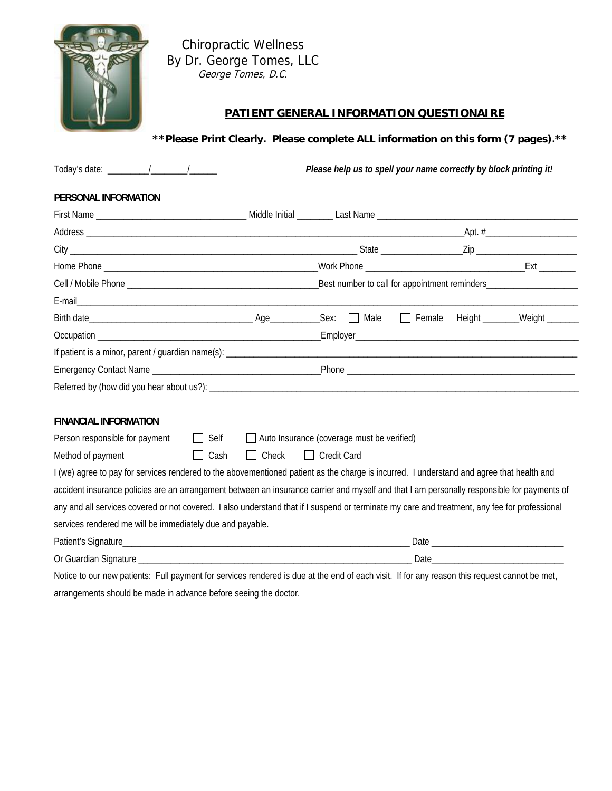

Chiropractic Wellness By Dr. George Tomes, LLC George Tomes, D.C.

# **PATIENT GENERAL INFORMATION QUESTIONAIRE**

**\*\*Please Print Clearly. Please complete ALL information on this form (7 pages).\*\*** 

|                                                                                                                                               |                                                |                                                   | Please help us to spell your name correctly by block printing it! |                               |
|-----------------------------------------------------------------------------------------------------------------------------------------------|------------------------------------------------|---------------------------------------------------|-------------------------------------------------------------------|-------------------------------|
| PERSONAL INFORMATION                                                                                                                          |                                                |                                                   |                                                                   |                               |
|                                                                                                                                               |                                                |                                                   |                                                                   |                               |
|                                                                                                                                               |                                                |                                                   |                                                                   |                               |
|                                                                                                                                               |                                                |                                                   |                                                                   |                               |
|                                                                                                                                               |                                                |                                                   |                                                                   |                               |
|                                                                                                                                               |                                                |                                                   |                                                                   |                               |
|                                                                                                                                               |                                                |                                                   |                                                                   |                               |
|                                                                                                                                               |                                                |                                                   | $\Box$ Female                                                     | Height ________Weight _______ |
|                                                                                                                                               |                                                |                                                   |                                                                   |                               |
|                                                                                                                                               |                                                |                                                   |                                                                   |                               |
|                                                                                                                                               |                                                |                                                   |                                                                   |                               |
|                                                                                                                                               |                                                |                                                   |                                                                   |                               |
| <b>FINANCIAL INFORMATION</b>                                                                                                                  |                                                |                                                   |                                                                   |                               |
| Person responsible for payment                                                                                                                | $\Box$ Self                                    | $\Box$ Auto Insurance (coverage must be verified) |                                                                   |                               |
| Method of payment                                                                                                                             | $\Box$ Check $\Box$ Credit Card<br>$\Box$ Cash |                                                   |                                                                   |                               |
| I (we) agree to pay for services rendered to the abovementioned patient as the charge is incurred. I understand and agree that health and     |                                                |                                                   |                                                                   |                               |
| accident insurance policies are an arrangement between an insurance carrier and myself and that I am personally responsible for payments of   |                                                |                                                   |                                                                   |                               |
| any and all services covered or not covered. I also understand that if I suspend or terminate my care and treatment, any fee for professional |                                                |                                                   |                                                                   |                               |
| services rendered me will be immediately due and payable.                                                                                     |                                                |                                                   |                                                                   |                               |
|                                                                                                                                               |                                                |                                                   |                                                                   |                               |
|                                                                                                                                               |                                                |                                                   |                                                                   |                               |
| Notice to our new nationte. Full newment for cervices rendered is due at the end of each visit. If for any reason this request cannot be met  |                                                |                                                   |                                                                   |                               |

Notice to our new patients: Full payment for services rendered is due at the end of each visit. If for any reason this request cannot be met, arrangements should be made in advance before seeing the doctor.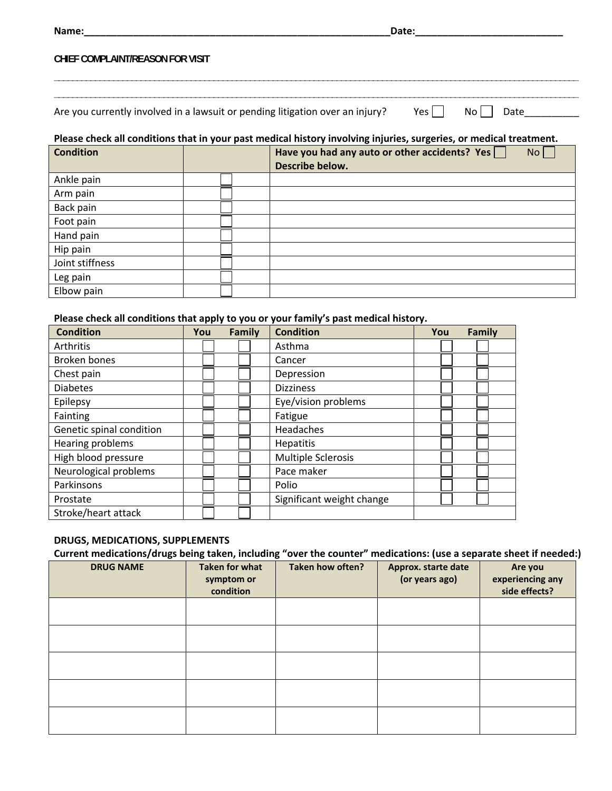| Name:                                                                         | Date: |              |  |
|-------------------------------------------------------------------------------|-------|--------------|--|
| CHIEF COMPLAINT/REASON FOR VISIT                                              |       |              |  |
|                                                                               |       |              |  |
| Are you currently involved in a lawsuit or pending litigation over an injury? | Yes   | No l<br>Date |  |

| Please check all conditions that in your past medical history involving injuries, surgeries, or medical treatment |  |
|-------------------------------------------------------------------------------------------------------------------|--|

| i icase check an conditions that in your past mearch mistory involving injuries, surgeries, or mearch treatment. |  |                                                                        |  |  |
|------------------------------------------------------------------------------------------------------------------|--|------------------------------------------------------------------------|--|--|
| <b>Condition</b>                                                                                                 |  | Have you had any auto or other accidents? Yes<br>No<br>Describe below. |  |  |
| Ankle pain                                                                                                       |  |                                                                        |  |  |
| Arm pain                                                                                                         |  |                                                                        |  |  |
| Back pain                                                                                                        |  |                                                                        |  |  |
| Foot pain                                                                                                        |  |                                                                        |  |  |
| Hand pain                                                                                                        |  |                                                                        |  |  |
| Hip pain                                                                                                         |  |                                                                        |  |  |
| Joint stiffness                                                                                                  |  |                                                                        |  |  |
| Leg pain                                                                                                         |  |                                                                        |  |  |
| Elbow pain                                                                                                       |  |                                                                        |  |  |

#### **Please check all conditions that apply to you or your family's past medical history.**

| <b>Condition</b>         | You | Family | <b>Condition</b>          | You | Family |
|--------------------------|-----|--------|---------------------------|-----|--------|
| Arthritis                |     |        | Asthma                    |     |        |
| <b>Broken bones</b>      |     |        | Cancer                    |     |        |
| Chest pain               |     |        | Depression                |     |        |
| <b>Diabetes</b>          |     |        | <b>Dizziness</b>          |     |        |
| Epilepsy                 |     |        | Eye/vision problems       |     |        |
| Fainting                 |     |        | Fatigue                   |     |        |
| Genetic spinal condition |     |        | Headaches                 |     |        |
| Hearing problems         |     |        | Hepatitis                 |     |        |
| High blood pressure      |     |        | <b>Multiple Sclerosis</b> |     |        |
| Neurological problems    |     |        | Pace maker                |     |        |
| Parkinsons               |     |        | Polio                     |     |        |
| Prostate                 |     |        | Significant weight change |     |        |
| Stroke/heart attack      |     |        |                           |     |        |

## **DRUGS, MEDICATIONS, SUPPLEMENTS**

**Current medications/drugs being taken, including "over the counter" medications: (use a separate sheet if needed:)**

| <b>DRUG NAME</b> | <b>Taken for what</b><br>symptom or<br>condition | Taken how often? | Approx. starte date<br>(or years ago) | Are you<br>experiencing any<br>side effects? |
|------------------|--------------------------------------------------|------------------|---------------------------------------|----------------------------------------------|
|                  |                                                  |                  |                                       |                                              |
|                  |                                                  |                  |                                       |                                              |
|                  |                                                  |                  |                                       |                                              |
|                  |                                                  |                  |                                       |                                              |
|                  |                                                  |                  |                                       |                                              |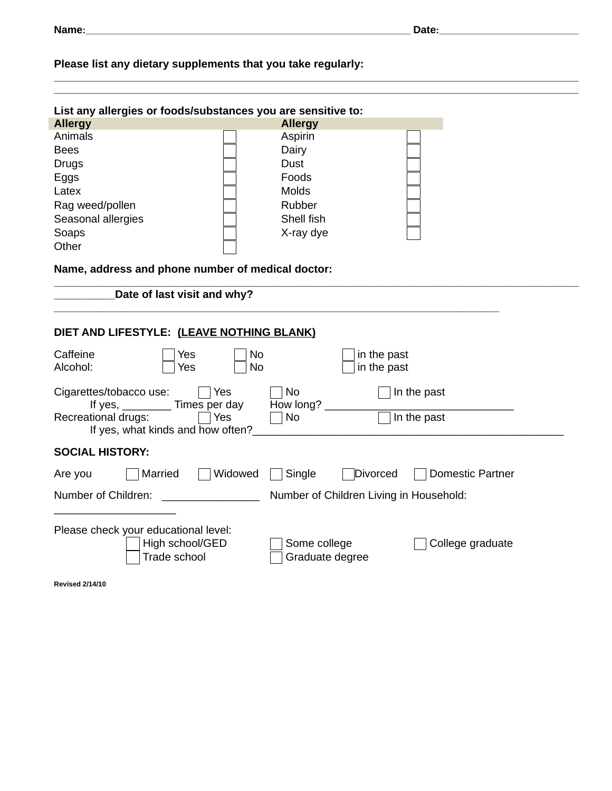# **Please list any dietary supplements that you take regularly:**

| <b>Allergy</b><br><b>Allergy</b><br>Animals<br>Aspirin<br>Dairy<br><b>Bees</b><br><b>Dust</b><br><b>Drugs</b><br>Foods<br>Eggs<br>Latex<br>Molds<br>Rubber<br>Rag weed/pollen<br>Shell fish<br>Seasonal allergies<br>Soaps<br>X-ray dye<br>Other<br>Name, address and phone number of medical doctor:<br>Date of last visit and why?<br>DIET AND LIFESTYLE: (LEAVE NOTHING BLANK)<br>Caffeine<br>N <sub>o</sub><br>in the past<br>Yes<br>Alcohol:<br><b>No</b><br>in the past<br>Yes<br><b>No</b><br>In the past<br>Cigarettes/tobacco use:<br><b>Yes</b><br>How long?<br>Times per day<br>If yes,<br>Recreational drugs:<br>Yes<br><b>No</b><br>In the past<br>If yes, what kinds and how often?<br><b>SOCIAL HISTORY:</b><br>Widowed<br>Single<br>Married<br>Divorced<br><b>Domestic Partner</b><br>Are you<br>Number of Children:<br>Number of Children Living in Household:<br>Please check your educational level:<br>High school/GED<br>Some college<br>College graduate<br>Trade school<br>Graduate degree<br><b>Revised 2/14/10</b> | List any allergies or foods/substances you are sensitive to: |  |
|---------------------------------------------------------------------------------------------------------------------------------------------------------------------------------------------------------------------------------------------------------------------------------------------------------------------------------------------------------------------------------------------------------------------------------------------------------------------------------------------------------------------------------------------------------------------------------------------------------------------------------------------------------------------------------------------------------------------------------------------------------------------------------------------------------------------------------------------------------------------------------------------------------------------------------------------------------------------------------------------------------------------------------------------|--------------------------------------------------------------|--|
|                                                                                                                                                                                                                                                                                                                                                                                                                                                                                                                                                                                                                                                                                                                                                                                                                                                                                                                                                                                                                                             |                                                              |  |
|                                                                                                                                                                                                                                                                                                                                                                                                                                                                                                                                                                                                                                                                                                                                                                                                                                                                                                                                                                                                                                             |                                                              |  |
|                                                                                                                                                                                                                                                                                                                                                                                                                                                                                                                                                                                                                                                                                                                                                                                                                                                                                                                                                                                                                                             |                                                              |  |
|                                                                                                                                                                                                                                                                                                                                                                                                                                                                                                                                                                                                                                                                                                                                                                                                                                                                                                                                                                                                                                             |                                                              |  |
|                                                                                                                                                                                                                                                                                                                                                                                                                                                                                                                                                                                                                                                                                                                                                                                                                                                                                                                                                                                                                                             |                                                              |  |
|                                                                                                                                                                                                                                                                                                                                                                                                                                                                                                                                                                                                                                                                                                                                                                                                                                                                                                                                                                                                                                             |                                                              |  |
|                                                                                                                                                                                                                                                                                                                                                                                                                                                                                                                                                                                                                                                                                                                                                                                                                                                                                                                                                                                                                                             |                                                              |  |
|                                                                                                                                                                                                                                                                                                                                                                                                                                                                                                                                                                                                                                                                                                                                                                                                                                                                                                                                                                                                                                             |                                                              |  |
|                                                                                                                                                                                                                                                                                                                                                                                                                                                                                                                                                                                                                                                                                                                                                                                                                                                                                                                                                                                                                                             |                                                              |  |
|                                                                                                                                                                                                                                                                                                                                                                                                                                                                                                                                                                                                                                                                                                                                                                                                                                                                                                                                                                                                                                             |                                                              |  |
|                                                                                                                                                                                                                                                                                                                                                                                                                                                                                                                                                                                                                                                                                                                                                                                                                                                                                                                                                                                                                                             |                                                              |  |
|                                                                                                                                                                                                                                                                                                                                                                                                                                                                                                                                                                                                                                                                                                                                                                                                                                                                                                                                                                                                                                             |                                                              |  |
|                                                                                                                                                                                                                                                                                                                                                                                                                                                                                                                                                                                                                                                                                                                                                                                                                                                                                                                                                                                                                                             |                                                              |  |
|                                                                                                                                                                                                                                                                                                                                                                                                                                                                                                                                                                                                                                                                                                                                                                                                                                                                                                                                                                                                                                             |                                                              |  |
|                                                                                                                                                                                                                                                                                                                                                                                                                                                                                                                                                                                                                                                                                                                                                                                                                                                                                                                                                                                                                                             |                                                              |  |
|                                                                                                                                                                                                                                                                                                                                                                                                                                                                                                                                                                                                                                                                                                                                                                                                                                                                                                                                                                                                                                             |                                                              |  |
|                                                                                                                                                                                                                                                                                                                                                                                                                                                                                                                                                                                                                                                                                                                                                                                                                                                                                                                                                                                                                                             |                                                              |  |
|                                                                                                                                                                                                                                                                                                                                                                                                                                                                                                                                                                                                                                                                                                                                                                                                                                                                                                                                                                                                                                             |                                                              |  |
|                                                                                                                                                                                                                                                                                                                                                                                                                                                                                                                                                                                                                                                                                                                                                                                                                                                                                                                                                                                                                                             |                                                              |  |
|                                                                                                                                                                                                                                                                                                                                                                                                                                                                                                                                                                                                                                                                                                                                                                                                                                                                                                                                                                                                                                             |                                                              |  |
|                                                                                                                                                                                                                                                                                                                                                                                                                                                                                                                                                                                                                                                                                                                                                                                                                                                                                                                                                                                                                                             |                                                              |  |
|                                                                                                                                                                                                                                                                                                                                                                                                                                                                                                                                                                                                                                                                                                                                                                                                                                                                                                                                                                                                                                             |                                                              |  |
|                                                                                                                                                                                                                                                                                                                                                                                                                                                                                                                                                                                                                                                                                                                                                                                                                                                                                                                                                                                                                                             |                                                              |  |
|                                                                                                                                                                                                                                                                                                                                                                                                                                                                                                                                                                                                                                                                                                                                                                                                                                                                                                                                                                                                                                             |                                                              |  |
|                                                                                                                                                                                                                                                                                                                                                                                                                                                                                                                                                                                                                                                                                                                                                                                                                                                                                                                                                                                                                                             |                                                              |  |
|                                                                                                                                                                                                                                                                                                                                                                                                                                                                                                                                                                                                                                                                                                                                                                                                                                                                                                                                                                                                                                             |                                                              |  |
|                                                                                                                                                                                                                                                                                                                                                                                                                                                                                                                                                                                                                                                                                                                                                                                                                                                                                                                                                                                                                                             |                                                              |  |
|                                                                                                                                                                                                                                                                                                                                                                                                                                                                                                                                                                                                                                                                                                                                                                                                                                                                                                                                                                                                                                             |                                                              |  |

**\_\_\_\_\_\_\_\_\_\_\_\_\_\_\_\_\_\_\_\_\_\_\_\_\_\_\_\_\_\_\_\_\_\_\_\_\_\_\_\_\_\_\_\_\_\_\_\_\_\_\_\_\_\_\_\_\_\_\_\_\_\_\_\_\_\_\_\_\_\_\_\_\_\_\_\_\_\_\_\_\_\_\_\_\_\_**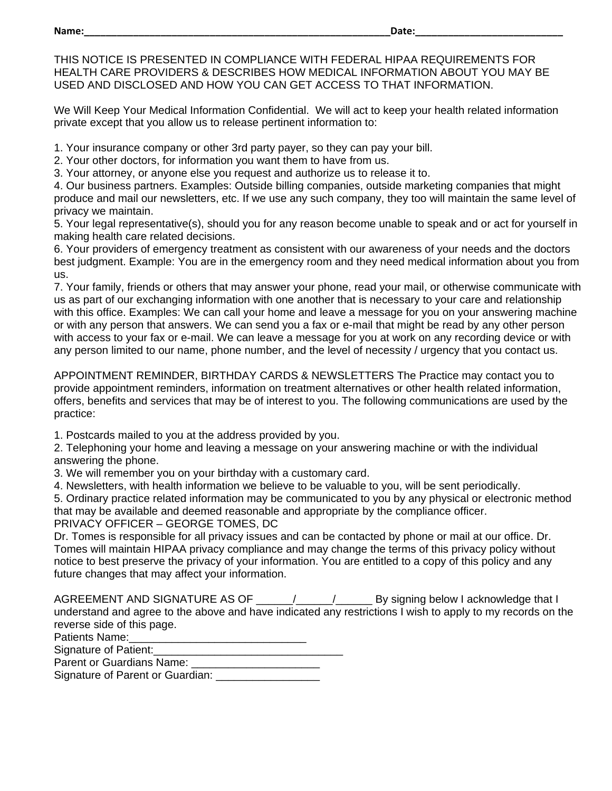THIS NOTICE IS PRESENTED IN COMPLIANCE WITH FEDERAL HIPAA REQUIREMENTS FOR HEALTH CARE PROVIDERS & DESCRIBES HOW MEDICAL INFORMATION ABOUT YOU MAY BE USED AND DISCLOSED AND HOW YOU CAN GET ACCESS TO THAT INFORMATION.

We Will Keep Your Medical Information Confidential. We will act to keep your health related information private except that you allow us to release pertinent information to:

1. Your insurance company or other 3rd party payer, so they can pay your bill.

2. Your other doctors, for information you want them to have from us.

3. Your attorney, or anyone else you request and authorize us to release it to.

4. Our business partners. Examples: Outside billing companies, outside marketing companies that might produce and mail our newsletters, etc. If we use any such company, they too will maintain the same level of privacy we maintain.

5. Your legal representative(s), should you for any reason become unable to speak and or act for yourself in making health care related decisions.

6. Your providers of emergency treatment as consistent with our awareness of your needs and the doctors best judgment. Example: You are in the emergency room and they need medical information about you from us.

7. Your family, friends or others that may answer your phone, read your mail, or otherwise communicate with us as part of our exchanging information with one another that is necessary to your care and relationship with this office. Examples: We can call your home and leave a message for you on your answering machine or with any person that answers. We can send you a fax or e-mail that might be read by any other person with access to your fax or e-mail. We can leave a message for you at work on any recording device or with any person limited to our name, phone number, and the level of necessity / urgency that you contact us.

APPOINTMENT REMINDER, BIRTHDAY CARDS & NEWSLETTERS The Practice may contact you to provide appointment reminders, information on treatment alternatives or other health related information, offers, benefits and services that may be of interest to you. The following communications are used by the practice:

1. Postcards mailed to you at the address provided by you.

2. Telephoning your home and leaving a message on your answering machine or with the individual answering the phone.

3. We will remember you on your birthday with a customary card.

4. Newsletters, with health information we believe to be valuable to you, will be sent periodically.

5. Ordinary practice related information may be communicated to you by any physical or electronic method that may be available and deemed reasonable and appropriate by the compliance officer.

PRIVACY OFFICER – GEORGE TOMES, DC

Dr. Tomes is responsible for all privacy issues and can be contacted by phone or mail at our office. Dr. Tomes will maintain HIPAA privacy compliance and may change the terms of this privacy policy without notice to best preserve the privacy of your information. You are entitled to a copy of this policy and any future changes that may affect your information.

AGREEMENT AND SIGNATURE AS OF \_\_\_\_\_\_/\_\_\_\_\_\_/\_\_\_\_\_\_ By signing below I acknowledge that I understand and agree to the above and have indicated any restrictions I wish to apply to my records on the reverse side of this page.

Patients Name:

Signature of Patient:

Parent or Guardians Name: \_\_\_\_\_\_\_\_\_\_\_\_\_\_\_\_\_\_\_\_\_

Signature of Parent or Guardian: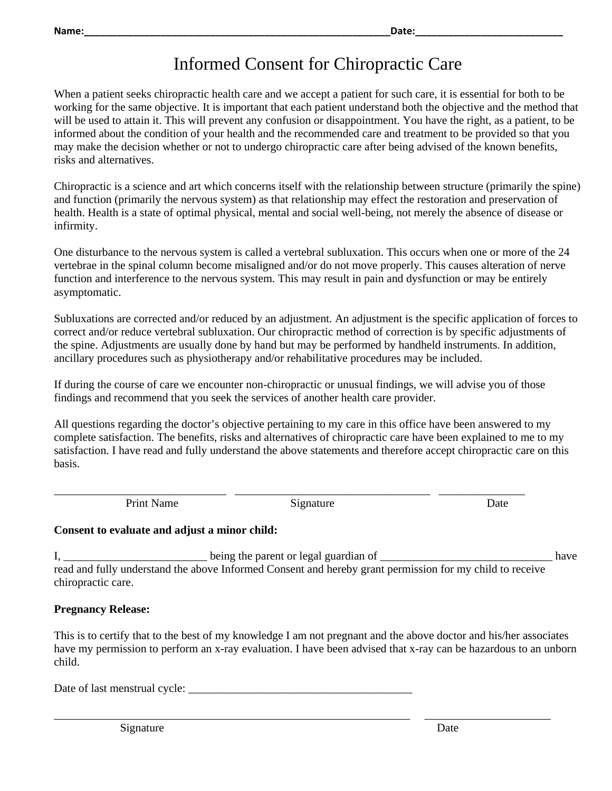# Informed Consent for Chiropractic Care

When a patient seeks chiropractic health care and we accept a patient for such care, it is essential for both to be working for the same objective. It is important that each patient understand both the objective and the method that will be used to attain it. This will prevent any confusion or disappointment. You have the right, as a patient, to be informed about the condition of your health and the recommended care and treatment to be provided so that you may make the decision whether or not to undergo chiropractic care after being advised of the known benefits, risks and alternatives.

Chiropractic is a science and art which concerns itself with the relationship between structure (primarily the spine) and function (primarily the nervous system) as that relationship may effect the restoration and preservation of health. Health is a state of optimal physical, mental and social well-being, not merely the absence of disease or infirmity.

One disturbance to the nervous system is called a vertebral subluxation. This occurs when one or more of the 24 vertebrae in the spinal column become misaligned and/or do not move properly. This causes alteration of nerve function and interference to the nervous system. This may result in pain and dysfunction or may be entirely asymptomatic.

Subluxations are corrected and/or reduced by an adjustment. An adjustment is the specific application of forces to correct and/or reduce vertebral subluxation. Our chiropractic method of correction is by specific adjustments of the spine. Adjustments are usually done by hand but may be performed by handheld instruments. In addition, ancillary procedures such as physiotherapy and/or rehabilitative procedures may be included.

If during the course of care we encounter non-chiropractic or unusual findings, we will advise you of those findings and recommend that you seek the services of another health care provider.

All questions regarding the doctor's objective pertaining to my care in this office have been answered to my complete satisfaction. The benefits, risks and alternatives of chiropractic care have been explained to me to my satisfaction. I have read and fully understand the above statements and therefore accept chiropractic care on this basis.

Print Name Signature Signature Date

\_\_\_\_\_\_\_\_\_\_\_\_\_\_\_\_\_\_\_\_\_\_\_\_\_\_\_\_\_\_ \_\_\_\_\_\_\_\_\_\_\_\_\_\_\_\_\_\_\_\_\_\_\_\_\_\_\_\_\_\_\_\_\_\_ \_\_\_\_\_\_\_\_\_\_\_\_\_\_\_

### **Consent to evaluate and adjust a minor child:**

I, \_\_\_\_\_\_\_\_\_\_\_\_\_\_\_\_\_\_\_\_\_\_\_\_\_ being the parent or legal guardian of \_\_\_\_\_\_\_\_\_\_\_\_\_\_\_\_\_\_\_\_\_\_\_\_\_\_\_\_\_\_ have read and fully understand the above Informed Consent and hereby grant permission for my child to receive chiropractic care.

### **Pregnancy Release:**

This is to certify that to the best of my knowledge I am not pregnant and the above doctor and his/her associates have my permission to perform an x-ray evaluation. I have been advised that x-ray can be hazardous to an unborn child.

\_\_\_\_\_\_\_\_\_\_\_\_\_\_\_\_\_\_\_\_\_\_\_\_\_\_\_\_\_\_\_\_\_\_\_\_\_\_\_\_\_\_\_\_\_\_\_\_\_\_\_\_\_\_\_\_\_\_\_\_\_\_ \_\_\_\_\_\_\_\_\_\_\_\_\_\_\_\_\_\_\_\_\_\_

Date of last menstrual cycle: